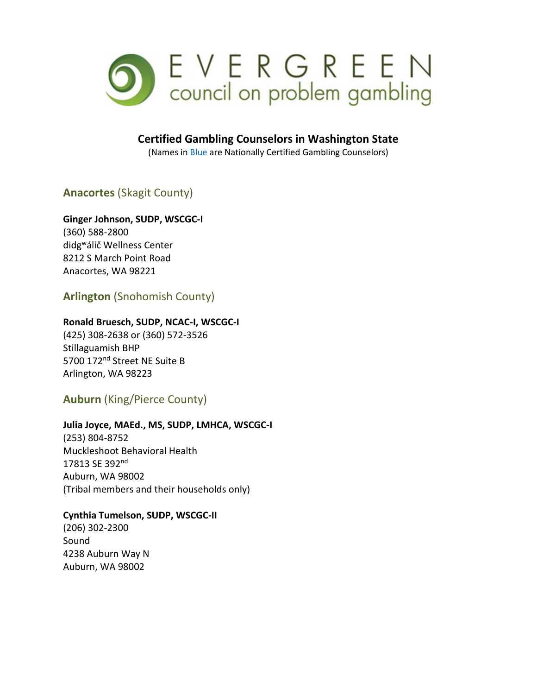

**Certified Gambling Counselors in Washington State**

(Names in Blue are Nationally Certified Gambling Counselors)

## **Anacortes** (Skagit County)

# **Ginger Johnson, SUDP, WSCGC-I** (360) 588-2800

didgwálič Wellness Center 8212 S March Point Road Anacortes, WA 98221

**Arlington** (Snohomish County)

## **Ronald Bruesch, SUDP, NCAC-I, WSCGC-I**

(425) 308-2638 or (360) 572-3526 Stillaguamish BHP 5700 172<sup>nd</sup> Street NE Suite B Arlington, WA 98223

# **Auburn** (King/Pierce County)

## **Julia Joyce, MAEd., MS, SUDP, LMHCA, WSCGC-I**

(253) 804-8752 Muckleshoot Behavioral Health 17813 SE 392nd Auburn, WA 98002 (Tribal members and their households only)

# **Cynthia Tumelson, SUDP, WSCGC-II**

(206) 302-2300 Sound 4238 Auburn Way N Auburn, WA 98002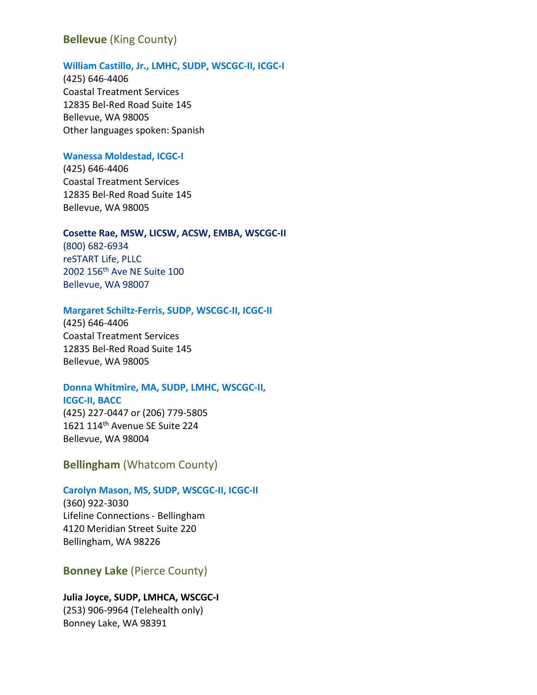## **Bellevue** (King County)

#### **William Castillo, Jr., LMHC, SUDP, WSCGC-II, ICGC-I**

(425) 646-4406 Coastal Treatment Services 12835 Bel-Red Road Suite 145 Bellevue, WA 98005 Other languages spoken: Spanish

#### **Wanessa Moldestad, ICGC-I**

(425) 646-4406 Coastal Treatment Services 12835 Bel-Red Road Suite 145 Bellevue, WA 98005

#### **Cosette Rae, MSW, LICSW, ACSW, EMBA, WSCGC-II**

(800) 682-6934 reSTART Life, PLLC 2002 156th Ave NE Suite 100 Bellevue, WA 98007

#### **Margaret Schiltz-Ferris, SUDP, WSCGC-II, ICGC-II**

(425) 646-4406 Coastal Treatment Services 12835 Bel-Red Road Suite 145 Bellevue, WA 98005

## **Donna Whitmire, MA, SUDP, LMHC, WSCGC-II,**

**ICGC-II, BACC**

(425) 227-0447 or (206) 779-5805 1621 114th Avenue SE Suite 224 Bellevue, WA 98004

**Bellingham** (Whatcom County)

#### **Carolyn Mason, MS, SUDP, WSCGC-II, ICGC-II**

(360) 922-3030 Lifeline Connections - Bellingham 4120 Meridian Street Suite 220 Bellingham, WA 98226

## **Bonney Lake** (Pierce County)

**Julia Joyce, SUDP, LMHCA, WSCGC-I** (253) 906-9964 (Telehealth only) Bonney Lake, WA 98391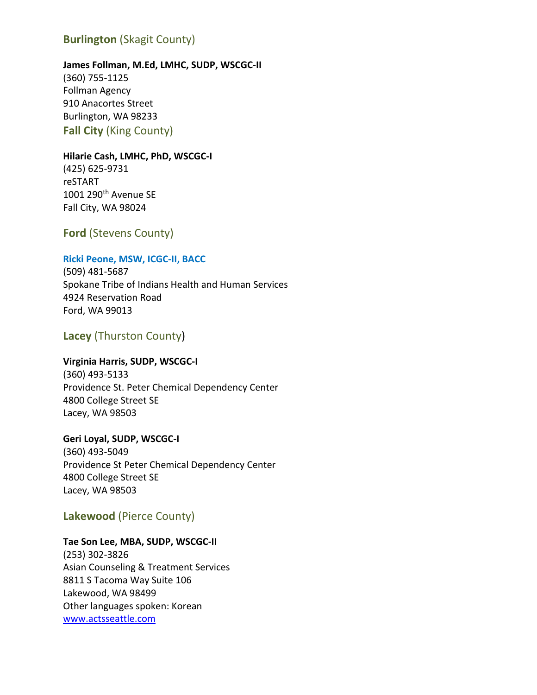# **Burlington** (Skagit County)

### **James Follman, M.Ed, LMHC, SUDP, WSCGC-II**

(360) 755-1125 Follman Agency 910 Anacortes Street Burlington, WA 98233 **Fall City** (King County)

### **Hilarie Cash, LMHC, PhD, WSCGC-I**

(425) 625-9731 reSTART 1001 290<sup>th</sup> Avenue SE Fall City, WA 98024

**Ford** (Stevens County)

## **Ricki Peone, MSW, ICGC-II, BACC**

(509) 481-5687 Spokane Tribe of Indians Health and Human Services 4924 Reservation Road Ford, WA 99013

## **Lacey** (Thurston County)

## **Virginia Harris, SUDP, WSCGC-I**

(360) 493-5133 Providence St. Peter Chemical Dependency Center 4800 College Street SE Lacey, WA 98503

### **Geri Loyal, SUDP, WSCGC-I**

(360) 493-5049 Providence St Peter Chemical Dependency Center 4800 College Street SE Lacey, WA 98503

## **Lakewood** (Pierce County)

## **Tae Son Lee, MBA, SUDP, WSCGC-II**

(253) 302-3826 Asian Counseling & Treatment Services 8811 S Tacoma Way Suite 106 Lakewood, WA 98499 Other languages spoken: Korean [www.actsseattle.com](http://www.actsseattle.com/)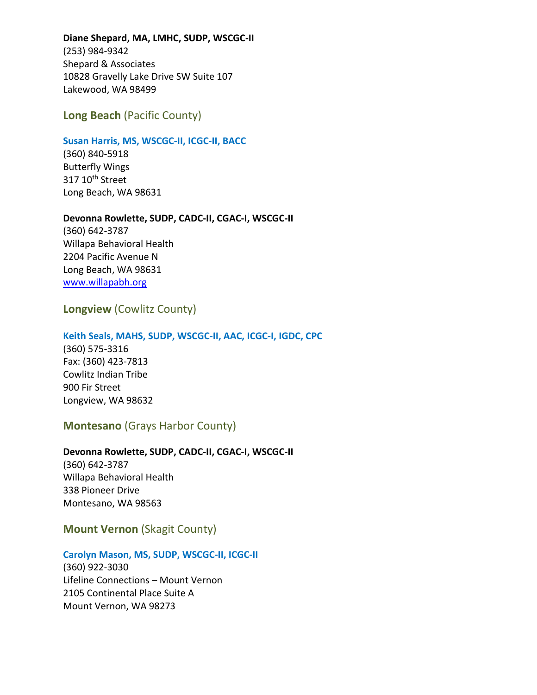#### **Diane Shepard, MA, LMHC, SUDP, WSCGC-II**

(253) 984-9342 Shepard & Associates 10828 Gravelly Lake Drive SW Suite 107 Lakewood, WA 98499

### **Long Beach** (Pacific County)

#### **Susan Harris, MS, WSCGC-II, ICGC-II, BACC**

(360) 840-5918 Butterfly Wings 317 10<sup>th</sup> Street Long Beach, WA 98631

#### **Devonna Rowlette, SUDP, CADC-II, CGAC-I, WSCGC-II**

(360) 642-3787 Willapa Behavioral Health 2204 Pacific Avenue N Long Beach, WA 98631 [www.willapabh.org](http://www.willapabh.org/)

## **Longview** (Cowlitz County)

#### **Keith Seals, MAHS, SUDP, WSCGC-II, AAC, ICGC-I, IGDC, CPC**

(360) 575-3316 Fax: (360) 423-7813 Cowlitz Indian Tribe 900 Fir Street Longview, WA 98632

# **Montesano** (Grays Harbor County)

### **Devonna Rowlette, SUDP, CADC-II, CGAC-I, WSCGC-II**

(360) 642-3787 Willapa Behavioral Health 338 Pioneer Drive Montesano, WA 98563

## **Mount Vernon** (Skagit County)

### **Carolyn Mason, MS, SUDP, WSCGC-II, ICGC-II**

(360) 922-3030 Lifeline Connections – Mount Vernon 2105 Continental Place Suite A Mount Vernon, WA 98273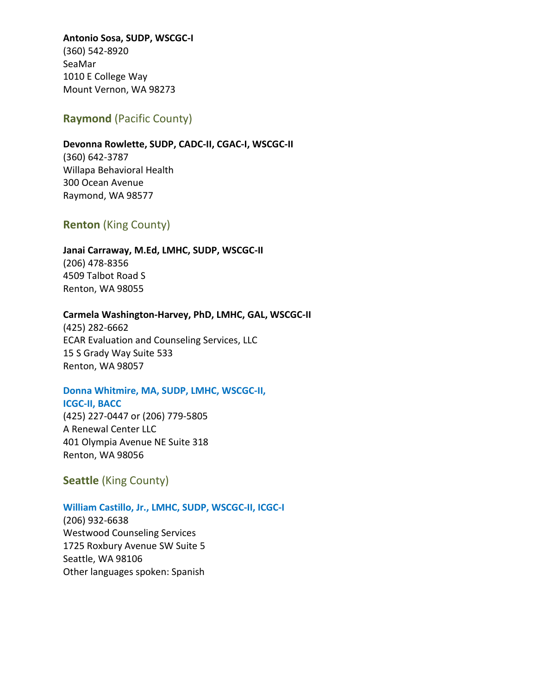#### **Antonio Sosa, SUDP, WSCGC-I**

(360) 542-8920 SeaMar 1010 E College Way Mount Vernon, WA 98273

# **Raymond** (Pacific County)

#### **Devonna Rowlette, SUDP, CADC-II, CGAC-I, WSCGC-II**

(360) 642-3787 Willapa Behavioral Health 300 Ocean Avenue Raymond, WA 98577

## **Renton** (King County)

#### **Janai Carraway, M.Ed, LMHC, SUDP, WSCGC-II**

(206) 478-8356 4509 Talbot Road S Renton, WA 98055

#### **Carmela Washington-Harvey, PhD, LMHC, GAL, WSCGC-II**

(425) 282-6662 ECAR Evaluation and Counseling Services, LLC 15 S Grady Way Suite 533 Renton, WA 98057

# **Donna Whitmire, MA, SUDP, LMHC, WSCGC-II,**

#### **ICGC-II, BACC**

(425) 227-0447 or (206) 779-5805 A Renewal Center LLC 401 Olympia Avenue NE Suite 318 Renton, WA 98056

# **Seattle** (King County)

#### **William Castillo, Jr., LMHC, SUDP, WSCGC-II, ICGC-I**

(206) 932-6638 Westwood Counseling Services 1725 Roxbury Avenue SW Suite 5 Seattle, WA 98106 Other languages spoken: Spanish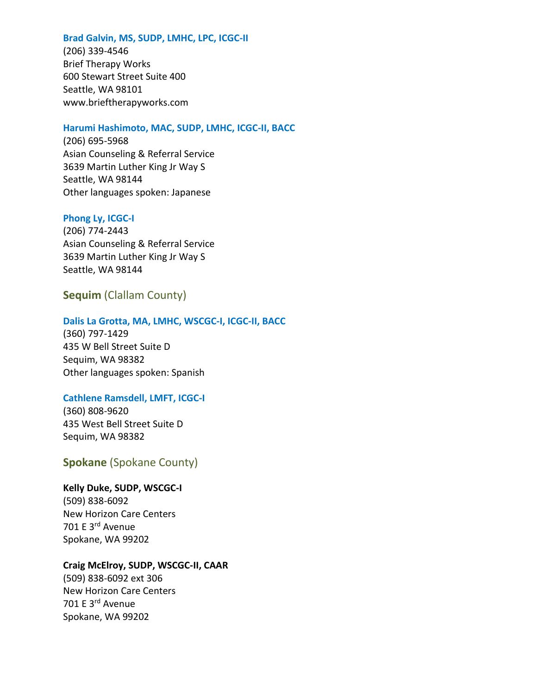#### **Brad Galvin, MS, SUDP, LMHC, LPC, ICGC-II**

(206) 339-4546 Brief Therapy Works 600 Stewart Street Suite 400 Seattle, WA 98101 www.brieftherapyworks.com

#### **Harumi Hashimoto, MAC, SUDP, LMHC, ICGC-II, BACC**

(206) 695-5968 Asian Counseling & Referral Service 3639 Martin Luther King Jr Way S Seattle, WA 98144 Other languages spoken: Japanese

### **Phong Ly, ICGC-I**

(206) 774-2443 Asian Counseling & Referral Service 3639 Martin Luther King Jr Way S Seattle, WA 98144

## **Sequim** (Clallam County)

### **Dalis La Grotta, MA, LMHC, WSCGC-I, ICGC-II, BACC**

(360) 797-1429 435 W Bell Street Suite D Sequim, WA 98382 Other languages spoken: Spanish

### **Cathlene Ramsdell, LMFT, ICGC-I**

(360) 808-9620 435 West Bell Street Suite D Sequim, WA 98382

# **Spokane** (Spokane County)

### **Kelly Duke, SUDP, WSCGC-I**

(509) 838-6092 New Horizon Care Centers 701 E 3rd Avenue Spokane, WA 99202

### **Craig McElroy, SUDP, WSCGC-II, CAAR**

(509) 838-6092 ext 306 New Horizon Care Centers 701 E 3rd Avenue Spokane, WA 99202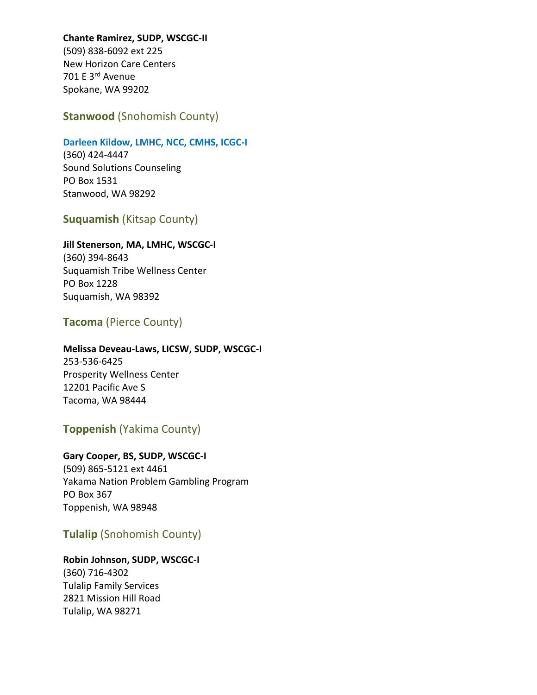## **Chante Ramirez, SUDP, WSCGC-II**

(509) 838-6092 ext 225 New Horizon Care Centers 701 E 3rd Avenue Spokane, WA 99202

# **Stanwood** (Snohomish County)

### **Darleen Kildow, LMHC, NCC, CMHS, ICGC-I**

(360) 424-4447 Sound Solutions Counseling PO Box 1531 Stanwood, WA 98292

# **Suquamish** (Kitsap County)

### **Jill Stenerson, MA, LMHC, WSCGC-I**

(360) 394-8643 Suquamish Tribe Wellness Center PO Box 1228 Suquamish, WA 98392

## **Tacoma** (Pierce County)

## **Melissa Deveau-Laws, LICSW, SUDP, WSCGC-I**

253-536-6425 Prosperity Wellness Center 12201 Pacific Ave S Tacoma, WA 98444

# **Toppenish** (Yakima County)

## **Gary Cooper, BS, SUDP, WSCGC-I**

(509) 865-5121 ext 4461 Yakama Nation Problem Gambling Program PO Box 367 Toppenish, WA 98948

# **Tulalip** (Snohomish County)

## **Robin Johnson, SUDP, WSCGC-I**

(360) 716-4302 Tulalip Family Services 2821 Mission Hill Road Tulalip, WA 98271